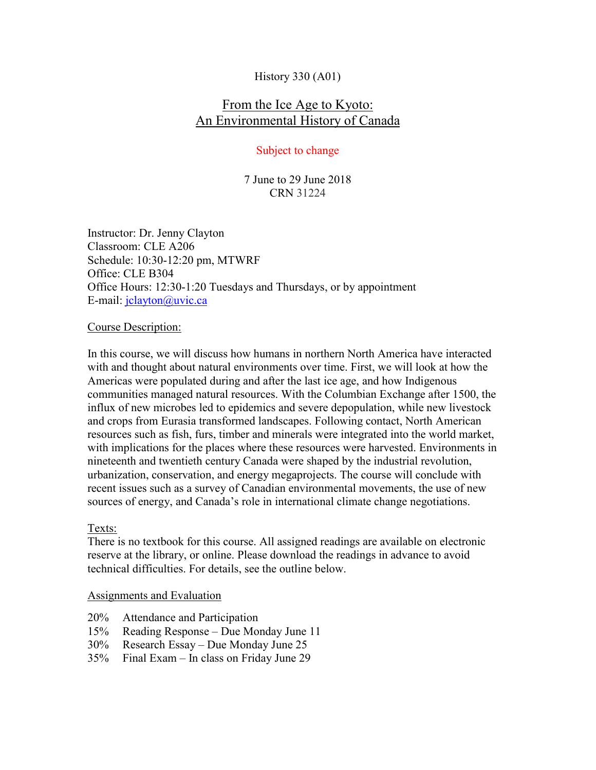# History 330 (A01)

# From the Ice Age to Kyoto: An Environmental History of Canada

# Subject to change

7 June to 29 June 2018 CRN 31224

Instructor: Dr. Jenny Clayton Classroom: CLE A206 Schedule: 10:30-12:20 pm, MTWRF Office: CLE B304 Office Hours: 12:30-1:20 Tuesdays and Thursdays, or by appointment E-mail: [jclayton@uvic.ca](mailto:jclayton@uvic.ca)

Course Description:

In this course, we will discuss how humans in northern North America have interacted with and thought about natural environments over time. First, we will look at how the Americas were populated during and after the last ice age, and how Indigenous communities managed natural resources. With the Columbian Exchange after 1500, the influx of new microbes led to epidemics and severe depopulation, while new livestock and crops from Eurasia transformed landscapes. Following contact, North American resources such as fish, furs, timber and minerals were integrated into the world market, with implications for the places where these resources were harvested. Environments in nineteenth and twentieth century Canada were shaped by the industrial revolution, urbanization, conservation, and energy megaprojects. The course will conclude with recent issues such as a survey of Canadian environmental movements, the use of new sources of energy, and Canada's role in international climate change negotiations.

# Texts:

There is no textbook for this course. All assigned readings are available on electronic reserve at the library, or online. Please download the readings in advance to avoid technical difficulties. For details, see the outline below.

### Assignments and Evaluation

- 20% Attendance and Participation
- 15% Reading Response Due Monday June 11
- 30% Research Essay Due Monday June 25
- 35% Final Exam In class on Friday June 29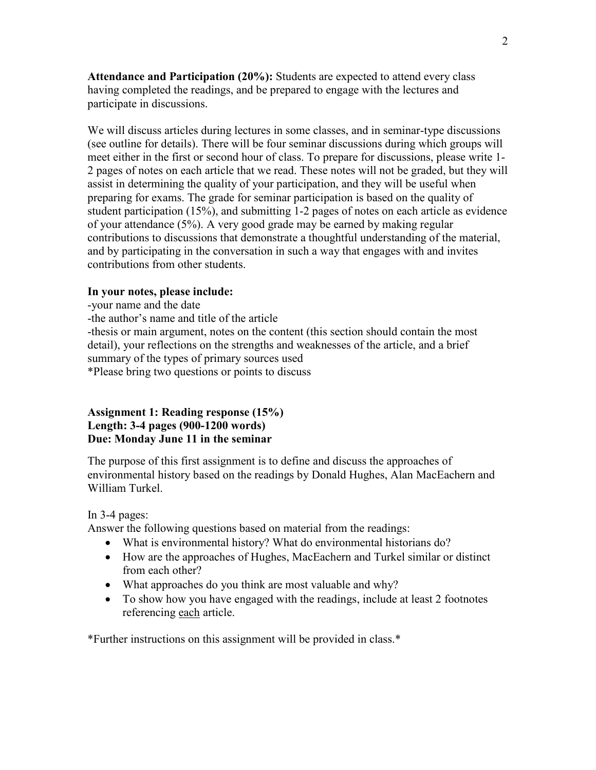**Attendance and Participation (20%):** Students are expected to attend every class having completed the readings, and be prepared to engage with the lectures and participate in discussions.

We will discuss articles during lectures in some classes, and in seminar-type discussions (see outline for details). There will be four seminar discussions during which groups will meet either in the first or second hour of class. To prepare for discussions, please write 1- 2 pages of notes on each article that we read. These notes will not be graded, but they will assist in determining the quality of your participation, and they will be useful when preparing for exams. The grade for seminar participation is based on the quality of student participation (15%), and submitting 1-2 pages of notes on each article as evidence of your attendance (5%). A very good grade may be earned by making regular contributions to discussions that demonstrate a thoughtful understanding of the material, and by participating in the conversation in such a way that engages with and invites contributions from other students.

### **In your notes, please include:**

-your name and the date

-the author's name and title of the article

-thesis or main argument, notes on the content (this section should contain the most detail), your reflections on the strengths and weaknesses of the article, and a brief summary of the types of primary sources used

\*Please bring two questions or points to discuss

## **Assignment 1: Reading response (15%) Length: 3-4 pages (900-1200 words) Due: Monday June 11 in the seminar**

The purpose of this first assignment is to define and discuss the approaches of environmental history based on the readings by Donald Hughes, Alan MacEachern and William Turkel.

### In 3-4 pages:

Answer the following questions based on material from the readings:

- What is environmental history? What do environmental historians do?
- How are the approaches of Hughes, MacEachern and Turkel similar or distinct from each other?
- What approaches do you think are most valuable and why?
- To show how you have engaged with the readings, include at least 2 footnotes referencing each article.

\*Further instructions on this assignment will be provided in class.\*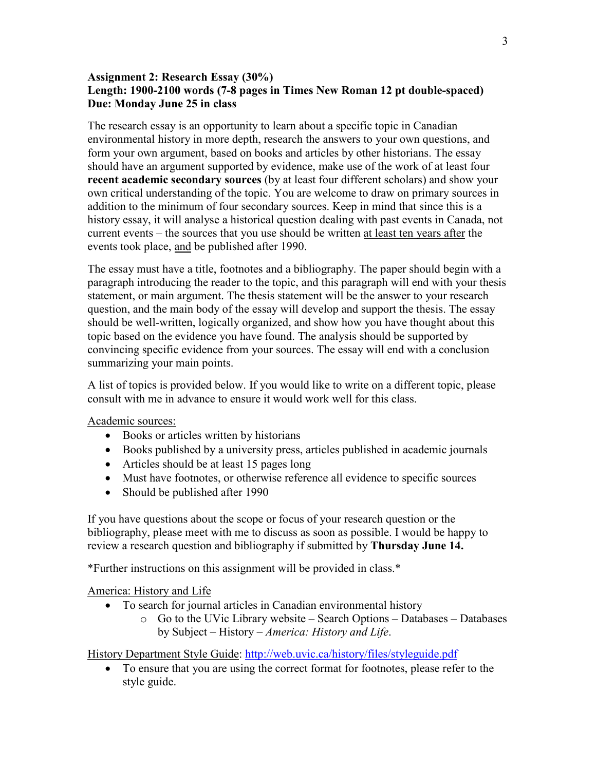## **Assignment 2: Research Essay (30%) Length: 1900-2100 words (7-8 pages in Times New Roman 12 pt double-spaced) Due: Monday June 25 in class**

The research essay is an opportunity to learn about a specific topic in Canadian environmental history in more depth, research the answers to your own questions, and form your own argument, based on books and articles by other historians. The essay should have an argument supported by evidence, make use of the work of at least four **recent academic secondary sources** (by at least four different scholars) and show your own critical understanding of the topic. You are welcome to draw on primary sources in addition to the minimum of four secondary sources. Keep in mind that since this is a history essay, it will analyse a historical question dealing with past events in Canada, not current events – the sources that you use should be written at least ten years after the events took place, and be published after 1990.

The essay must have a title, footnotes and a bibliography. The paper should begin with a paragraph introducing the reader to the topic, and this paragraph will end with your thesis statement, or main argument. The thesis statement will be the answer to your research question, and the main body of the essay will develop and support the thesis. The essay should be well-written, logically organized, and show how you have thought about this topic based on the evidence you have found. The analysis should be supported by convincing specific evidence from your sources. The essay will end with a conclusion summarizing your main points.

A list of topics is provided below. If you would like to write on a different topic, please consult with me in advance to ensure it would work well for this class.

Academic sources:

- Books or articles written by historians
- Books published by a university press, articles published in academic journals
- Articles should be at least 15 pages long
- Must have footnotes, or otherwise reference all evidence to specific sources
- Should be published after 1990

If you have questions about the scope or focus of your research question or the bibliography, please meet with me to discuss as soon as possible. I would be happy to review a research question and bibliography if submitted by **Thursday June 14.**

\*Further instructions on this assignment will be provided in class.\*

America: History and Life

- To search for journal articles in Canadian environmental history
	- o Go to the UVic Library website Search Options Databases Databases by Subject – History – *America: History and Life*.

History Department Style Guide:<http://web.uvic.ca/history/files/styleguide.pdf>

• To ensure that you are using the correct format for footnotes, please refer to the style guide.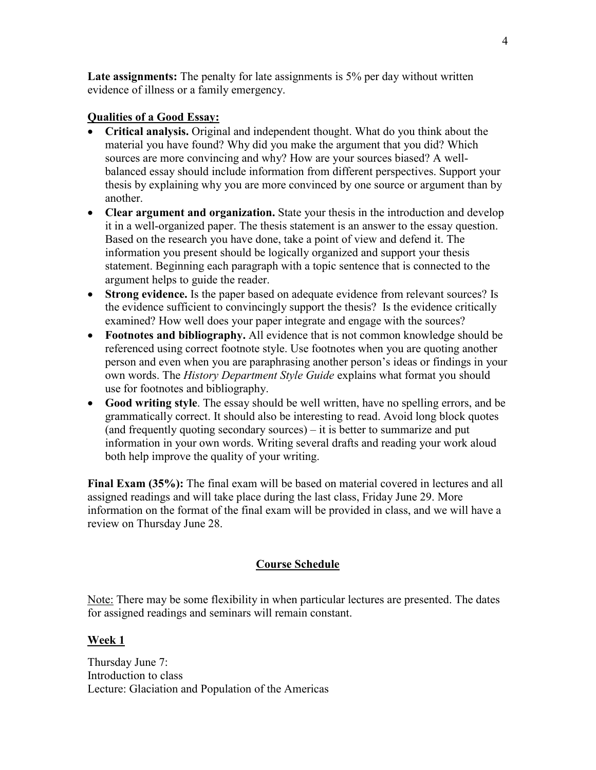Late assignments: The penalty for late assignments is 5% per day without written evidence of illness or a family emergency.

## **Qualities of a Good Essay:**

- **Critical analysis.** Original and independent thought. What do you think about the material you have found? Why did you make the argument that you did? Which sources are more convincing and why? How are your sources biased? A wellbalanced essay should include information from different perspectives. Support your thesis by explaining why you are more convinced by one source or argument than by another.
- **Clear argument and organization.** State your thesis in the introduction and develop it in a well-organized paper. The thesis statement is an answer to the essay question. Based on the research you have done, take a point of view and defend it. The information you present should be logically organized and support your thesis statement. Beginning each paragraph with a topic sentence that is connected to the argument helps to guide the reader.
- **Strong evidence.** Is the paper based on adequate evidence from relevant sources? Is the evidence sufficient to convincingly support the thesis? Is the evidence critically examined? How well does your paper integrate and engage with the sources?
- **Footnotes and bibliography.** All evidence that is not common knowledge should be referenced using correct footnote style. Use footnotes when you are quoting another person and even when you are paraphrasing another person's ideas or findings in your own words. The *History Department Style Guide* explains what format you should use for footnotes and bibliography.
- **Good writing style**. The essay should be well written, have no spelling errors, and be grammatically correct. It should also be interesting to read. Avoid long block quotes (and frequently quoting secondary sources) – it is better to summarize and put information in your own words. Writing several drafts and reading your work aloud both help improve the quality of your writing.

**Final Exam (35%):** The final exam will be based on material covered in lectures and all assigned readings and will take place during the last class, Friday June 29. More information on the format of the final exam will be provided in class, and we will have a review on Thursday June 28.

# **Course Schedule**

Note: There may be some flexibility in when particular lectures are presented. The dates for assigned readings and seminars will remain constant.

### **Week 1**

Thursday June 7: Introduction to class Lecture: Glaciation and Population of the Americas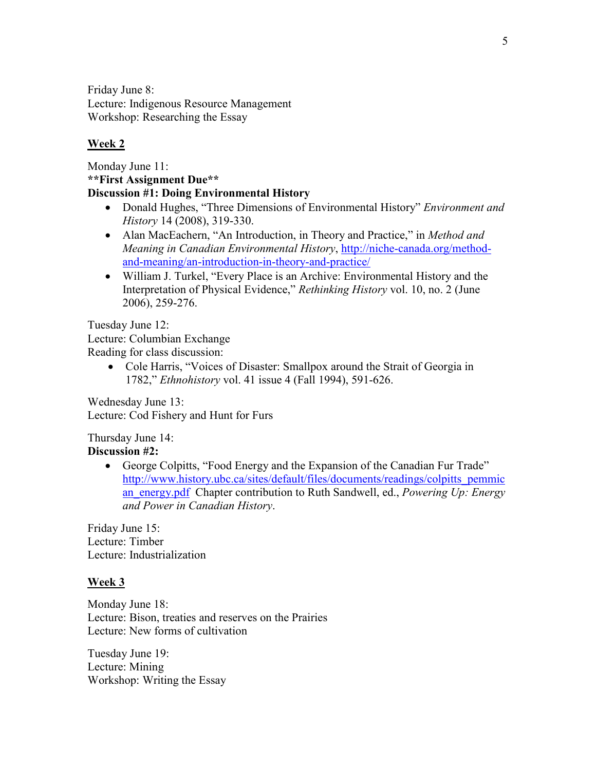Friday June 8: Lecture: Indigenous Resource Management Workshop: Researching the Essay

# **Week 2**

Monday June 11: **\*\*First Assignment Due\*\* Discussion #1: Doing Environmental History**

- Donald Hughes, "Three Dimensions of Environmental History" *Environment and History* 14 (2008), 319-330.
- Alan MacEachern, "An Introduction, in Theory and Practice," in *Method and Meaning in Canadian Environmental History*, [http://niche-canada.org/method](http://niche-canada.org/method-and-meaning/an-introduction-in-theory-and-practice/)[and-meaning/an-introduction-in-theory-and-practice/](http://niche-canada.org/method-and-meaning/an-introduction-in-theory-and-practice/)
- William J. Turkel, "Every Place is an Archive: Environmental History and the Interpretation of Physical Evidence," *Rethinking History* vol. 10, no. 2 (June 2006), 259-276.

Tuesday June 12:

Lecture: Columbian Exchange Reading for class discussion:

> • Cole Harris, "Voices of Disaster: Smallpox around the Strait of Georgia in 1782," *Ethnohistory* vol. 41 issue 4 (Fall 1994), 591-626.

Wednesday June 13: Lecture: Cod Fishery and Hunt for Furs

Thursday June 14: **Discussion #2:** 

> • George Colpitts, "Food Energy and the Expansion of the Canadian Fur Trade" [http://www.history.ubc.ca/sites/default/files/documents/readings/colpitts\\_pemmic](http://www.history.ubc.ca/sites/default/files/documents/readings/colpitts_pemmican_energy.pdf) [an\\_energy.pdf](http://www.history.ubc.ca/sites/default/files/documents/readings/colpitts_pemmican_energy.pdf) Chapter contribution to Ruth Sandwell, ed., *Powering Up: Energy and Power in Canadian History*.

Friday June 15: Lecture: Timber Lecture: Industrialization

# **Week 3**

Monday June 18: Lecture: Bison, treaties and reserves on the Prairies Lecture: New forms of cultivation

Tuesday June 19: Lecture: Mining Workshop: Writing the Essay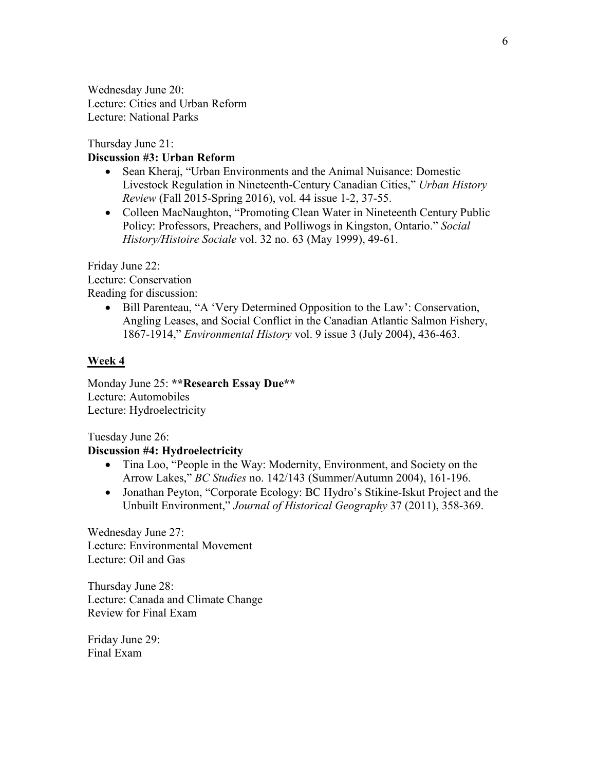Wednesday June 20: Lecture: Cities and Urban Reform Lecture: National Parks

Thursday June 21:

## **Discussion #3: Urban Reform**

- Sean Kheraj, "Urban Environments and the Animal Nuisance: Domestic Livestock Regulation in Nineteenth-Century Canadian Cities," *Urban History Review* (Fall 2015-Spring 2016), vol. 44 issue 1-2, 37-55.
- Colleen MacNaughton, "Promoting Clean Water in Nineteenth Century Public Policy: Professors, Preachers, and Polliwogs in Kingston, Ontario." *Social History/Histoire Sociale* vol. 32 no. 63 (May 1999), 49-61.

Friday June 22: Lecture: Conservation

Reading for discussion:

• Bill Parenteau, "A 'Very Determined Opposition to the Law': Conservation, Angling Leases, and Social Conflict in the Canadian Atlantic Salmon Fishery, 1867-1914," *Environmental History* vol. 9 issue 3 (July 2004), 436-463.

# **Week 4**

Monday June 25: **\*\*Research Essay Due\*\*** Lecture: Automobiles Lecture: Hydroelectricity

Tuesday June 26:

# **Discussion #4: Hydroelectricity**

- Tina Loo, "People in the Way: Modernity, Environment, and Society on the Arrow Lakes," *BC Studies* no. 142/143 (Summer/Autumn 2004), 161-196.
- Jonathan Peyton, "Corporate Ecology: BC Hydro's Stikine-Iskut Project and the Unbuilt Environment," *Journal of Historical Geography* 37 (2011), 358-369.

Wednesday June 27: Lecture: Environmental Movement Lecture: Oil and Gas

Thursday June 28: Lecture: Canada and Climate Change Review for Final Exam

Friday June 29: Final Exam